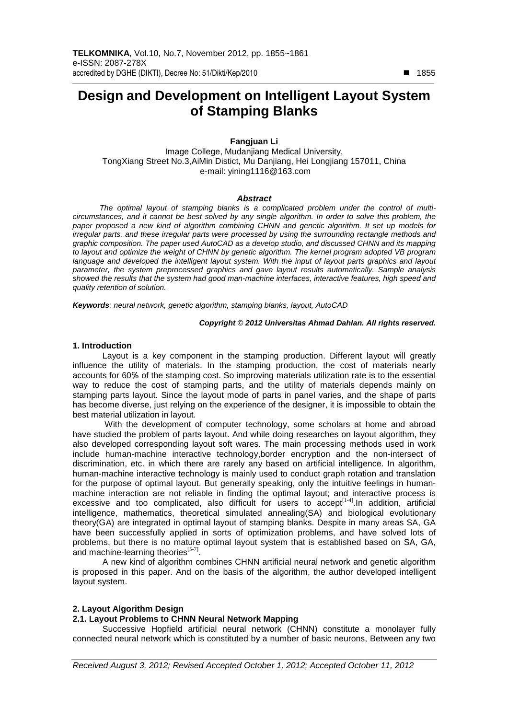# **Design and Development on Intelligent Layout System of Stamping Blanks**

**Fangjuan Li** 

Image College, Mudanjiang Medical University, TongXiang Street No.3,AiMin Distict, Mu Danjiang, Hei Longjiang 157011, China e-mail: yining1116@163.com

#### **Abstract**

The optimal layout of stamping blanks is a complicated problem under the control of multicircumstances, and it cannot be best solved by any single algorithm. In order to solve this problem, the paper proposed a new kind of algorithm combining CHNN and genetic algorithm. It set up models for irregular parts, and these irregular parts were processed by using the surrounding rectangle methods and graphic composition. The paper used AutoCAD as a develop studio, and discussed CHNN and its mapping to layout and optimize the weight of CHNN by genetic algorithm. The kernel program adopted VB program language and developed the intelligent layout system. With the input of layout parts graphics and layout parameter, the system preprocessed graphics and gave layout results automatically. Sample analysis showed the results that the system had good man-machine interfaces, interactive features, high speed and quality retention of solution.

**Keywords**: neural network, genetic algorithm, stamping blanks, layout, AutoCAD

#### **Copyright** © **2012 Universitas Ahmad Dahlan. All rights reserved.**

### **1. Introduction**

Layout is a key component in the stamping production. Different layout will greatly influence the utility of materials. In the stamping production, the cost of materials nearly accounts for 60℅ of the stamping cost. So improving materials utilization rate is to the essential way to reduce the cost of stamping parts, and the utility of materials depends mainly on stamping parts layout. Since the layout mode of parts in panel varies, and the shape of parts has become diverse, just relying on the experience of the designer, it is impossible to obtain the best material utilization in layout.

 With the development of computer technology, some scholars at home and abroad have studied the problem of parts layout. And while doing researches on layout algorithm, they also developed corresponding layout soft wares. The main processing methods used in work include human-machine interactive technology,border encryption and the non-intersect of discrimination, etc. in which there are rarely any based on artificial intelligence. In algorithm, human-machine interactive technology is mainly used to conduct graph rotation and translation for the purpose of optimal layout. But generally speaking, only the intuitive feelings in humanmachine interaction are not reliable in finding the optimal layout; and interactive process is excessive and too complicated, also difficult for users to accept[1-4].In addition, artificial intelligence, mathematics, theoretical simulated annealing(SA) and biological evolutionary theory(GA) are integrated in optimal layout of stamping blanks. Despite in many areas SA, GA have been successfully applied in sorts of optimization problems, and have solved lots of problems, but there is no mature optimal layout system that is established based on SA, GA, and machine-learning theories $^{[5-7]}$ .

A new kind of algorithm combines CHNN artificial neural network and genetic algorithm is proposed in this paper. And on the basis of the algorithm, the author developed intelligent layout system.

### **2. Layout Algorithm Design**

# **2.1. Layout Problems to CHNN Neural Network Mapping**

Successive Hopfield artificial neural network (CHNN) constitute a monolayer fully connected neural network which is constituted by a number of basic neurons, Between any two

-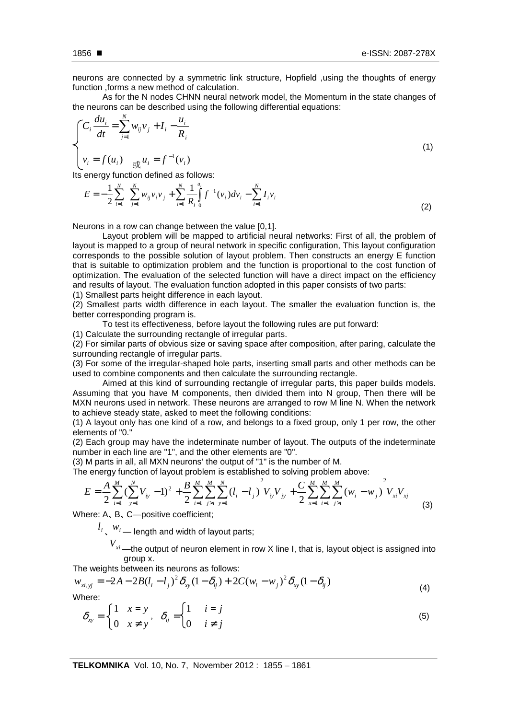neurons are connected by a symmetric link structure, Hopfield ,using the thoughts of energy function ,forms a new method of calculation.

As for the N nodes CHNN neural network model, the Momentum in the state changes of the neurons can be described using the following differential equations:

$$
\begin{cases}\nC_i \frac{du_i}{dt} = \sum_{j=1}^N w_{ij} v_j + I_i - \frac{u_i}{R_i} \\
v_i = f(u_i) \frac{du_i}{dt} = f^{-1}(v_i)\n\end{cases}
$$
\n(1)

Its energy function defined as follows:

*N*

$$
E = -\frac{1}{2} \sum_{i=1}^{N} \sum_{j=1}^{N} w_{ij} v_i v_j + \sum_{i=1}^{N} \frac{1}{R_i} \int_{0}^{u_i} f^{-1}(v_i) dv_i - \sum_{i=1}^{N} I_i v_i
$$
\n(2)

Neurons in a row can change between the value [0,1].

Layout problem will be mapped to artificial neural networks: First of all, the problem of layout is mapped to a group of neural network in specific configuration, This layout configuration corresponds to the possible solution of layout problem. Then constructs an energy E function that is suitable to optimization problem and the function is proportional to the cost function of optimization. The evaluation of the selected function will have a direct impact on the efficiency and results of layout. The evaluation function adopted in this paper consists of two parts:

(1) Smallest parts height difference in each layout.

(2) Smallest parts width difference in each layout. The smaller the evaluation function is, the better corresponding program is.

To test its effectiveness, before layout the following rules are put forward:

(1) Calculate the surrounding rectangle of irregular parts.

(2) For similar parts of obvious size or saving space after composition, after paring, calculate the surrounding rectangle of irregular parts.

(3) For some of the irregular-shaped hole parts, inserting small parts and other methods can be used to combine components and then calculate the surrounding rectangle.

Aimed at this kind of surrounding rectangle of irregular parts, this paper builds models. Assuming that you have M components, then divided them into N group, Then there will be MXN neurons used in network. These neurons are arranged to row M line N. When the network to achieve steady state, asked to meet the following conditions:

(1) A layout only has one kind of a row, and belongs to a fixed group, only 1 per row, the other elements of "0."

(2) Each group may have the indeterminate number of layout. The outputs of the indeterminate number in each line are "1", and the other elements are "0".

(3) M parts in all, all MXN neurons' the output of "1" is the number of M.

The energy function of layout problem is established to solving problem above:

$$
E = \frac{A}{2} \sum_{i=1}^{M} \left( \sum_{y=1}^{N} V_{iy} - 1 \right)^2 + \frac{B}{2} \sum_{i=1}^{M} \sum_{j>i}^{M} \sum_{y=1}^{N} \left( l_i - l_j \right)^2 V_{iy} V_{jy} + \frac{C}{2} \sum_{x=1}^{M} \sum_{i=1}^{M} \sum_{j>i}^{M} \left( w_i - w_j \right)^2 V_{xi} V_{xj}
$$
(3)

Where: A, B, C-positive coefficient;

 $l_i$  ,  $w_i$  — length and width of layout parts;

*<sup>V</sup>xi* —the output of neuron element in row X line I, that is, layout object is assigned into group x.

The weights between its neurons as follows:

$$
w_{xi, yj} = -2A - 2B(l_i - l_j)^2 \delta_{xy} (1 - \delta_{ij}) + 2C(w_i - w_j)^2 \delta_{xy} (1 - \delta_{ij})
$$
\n(4)

Where:

$$
\delta_{xy} = \begin{cases} 1 & x = y \\ 0 & x \neq y \end{cases}, \quad \delta_{ij} = \begin{cases} 1 & i = j \\ 0 & i \neq j \end{cases}
$$
 (5)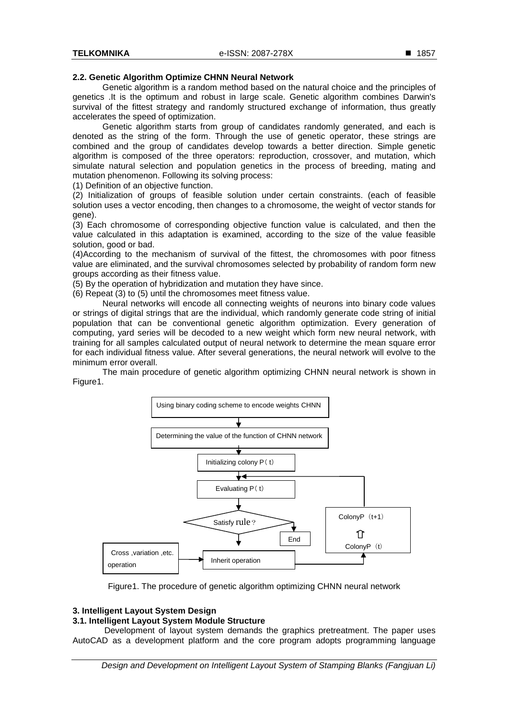# **2.2. Genetic Algorithm Optimize CHNN Neural Network**

Genetic algorithm is a random method based on the natural choice and the principles of genetics .It is the optimum and robust in large scale. Genetic algorithm combines Darwin's survival of the fittest strategy and randomly structured exchange of information, thus greatly accelerates the speed of optimization.

Genetic algorithm starts from group of candidates randomly generated, and each is denoted as the string of the form. Through the use of genetic operator, these strings are combined and the group of candidates develop towards a better direction. Simple genetic algorithm is composed of the three operators: reproduction, crossover, and mutation, which simulate natural selection and population genetics in the process of breeding, mating and mutation phenomenon. Following its solving process:

(1) Definition of an objective function.

(2) Initialization of groups of feasible solution under certain constraints. (each of feasible solution uses a vector encoding, then changes to a chromosome, the weight of vector stands for gene).

(3) Each chromosome of corresponding objective function value is calculated, and then the value calculated in this adaptation is examined, according to the size of the value feasible solution, good or bad.

(4)According to the mechanism of survival of the fittest, the chromosomes with poor fitness value are eliminated, and the survival chromosomes selected by probability of random form new groups according as their fitness value.

(5) By the operation of hybridization and mutation they have since.

(6) Repeat (3) to (5) until the chromosomes meet fitness value.

Neural networks will encode all connecting weights of neurons into binary code values or strings of digital strings that are the individual, which randomly generate code string of initial population that can be conventional genetic algorithm optimization. Every generation of computing, yard series will be decoded to a new weight which form new neural network, with training for all samples calculated output of neural network to determine the mean square error for each individual fitness value. After several generations, the neural network will evolve to the minimum error overall.

The main procedure of genetic algorithm optimizing CHNN neural network is shown in Figure1.



Figure1. The procedure of genetic algorithm optimizing CHNN neural network

# **3. Intelligent Layout System Design**

# **3.1. Intelligent Layout System Module Structure**

Development of layout system demands the graphics pretreatment. The paper uses AutoCAD as a development platform and the core program adopts programming language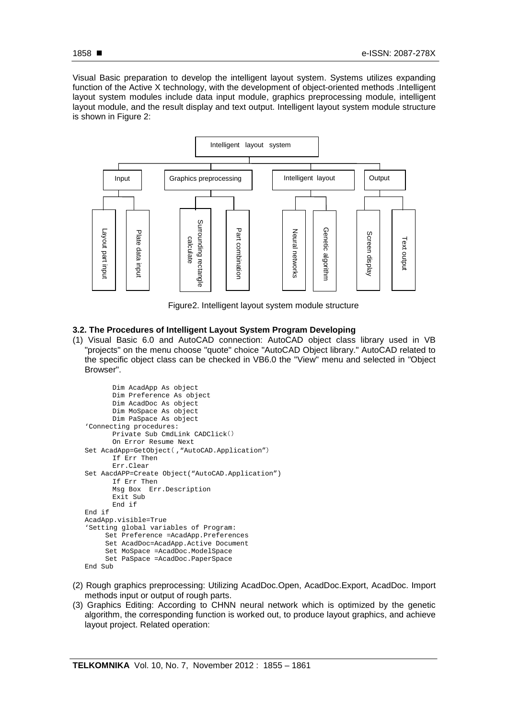Visual Basic preparation to develop the intelligent layout system. Systems utilizes expanding function of the Active X technology, with the development of object-oriented methods .Intelligent layout system modules include data input module, graphics preprocessing module, intelligent layout module, and the result display and text output. Intelligent layout system module structure is shown in Figure 2:



Figure2. Intelligent layout system module structure

# **3.2. The Procedures of Intelligent Layout System Program Developing**

(1) Visual Basic 6.0 and AutoCAD connection: AutoCAD object class library used in VB "projects" on the menu choose "quote" choice "AutoCAD Object library." AutoCAD related to the specific object class can be checked in VB6.0 the "View" menu and selected in "Object Browser".

```
Dim AcadApp As object 
       Dim Preference As object 
      Dim AcadDoc As object 
      Dim MoSpace As object 
      Dim PaSpace As object 
'Connecting procedures: 
      Private Sub CmdLink CADClick( (
      On Error Resume Next 
Set AcadApp=GetObject( ,"AutoCAD.Application") 
      If Err Then 
      Err.Clear
Set AacdAPP=Create Object("AutoCAD.Application") 
      If Err Then 
      Msg Box Err.Description 
      Exit Sub 
      End if 
End if 
AcadApp.visible=True 
'Setting global variables of Program: 
     Set Preference =AcadApp.Preferences
     Set AcadDoc=AcadApp.Active Document 
     Set MoSpace =AcadDoc.ModelSpace 
     Set PaSpace =AcadDoc.PaperSpace 
End Sub
```
- (2) Rough graphics preprocessing: Utilizing AcadDoc.Open, AcadDoc.Export, AcadDoc. Import methods input or output of rough parts.
- (3) Graphics Editing: According to CHNN neural network which is optimized by the genetic algorithm, the corresponding function is worked out, to produce layout graphics, and achieve layout project. Related operation: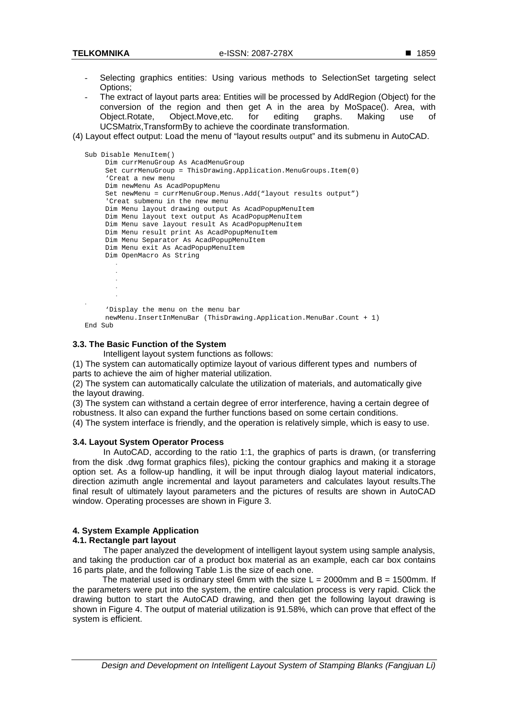- Selecting graphics entities: Using various methods to SelectionSet targeting select Options;
- The extract of layout parts area: Entities will be processed by AddRegion (Object) for the conversion of the region and then get A in the area by MoSpace(). Area, with Object.Rotate, Object.Move,etc. for editing graphs. Making use of UCSMatrix,TransformBy to achieve the coordinate transformation.
- (4) Layout effect output: Load the menu of "layout results output" and its submenu in AutoCAD.

```
Sub Disable MenuItem() 
    Dim currMenuGroup As AcadMenuGroup 
    Set currMenuGroup = ThisDrawing.Application.MenuGroups.Item(0) 
    'Creat a new menu 
    Dim newMenu As AcadPopupMenu 
    Set newMenu = currMenuGroup.Menus.Add("layout results output") 
    'Creat submenu in the new menu 
    Dim Menu layout drawing output As AcadPopupMenuItem
    Dim Menu layout text output As AcadPopupMenuItem 
    Dim Menu save layout result As AcadPopupMenuItem 
    Dim Menu result print As AcadPopupMenuItem 
    Dim Menu Separator As AcadPopupMenuItem 
    Dim Menu exit As AcadPopupMenuItem 
    Dim OpenMacro As String 
      . 
      . 
      . 
      . 
      . 
. 
    'Display the menu on the menu bar 
    newMenu.InsertInMenuBar (ThisDrawing.Application.MenuBar.Count + 1)
```

```
End Sub
```
# **3.3. The Basic Function of the System**

Intelligent layout system functions as follows:

(1) The system can automatically optimize layout of various different types and numbers of parts to achieve the aim of higher material utilization.

(2) The system can automatically calculate the utilization of materials, and automatically give the layout drawing.

(3) The system can withstand a certain degree of error interference, having a certain degree of robustness. It also can expand the further functions based on some certain conditions.

(4) The system interface is friendly, and the operation is relatively simple, which is easy to use.

### **3.4. Layout System Operator Process**

In AutoCAD, according to the ratio 1:1, the graphics of parts is drawn, (or transferring from the disk .dwg format graphics files), picking the contour graphics and making it a storage option set. As a follow-up handling, it will be input through dialog layout material indicators, direction azimuth angle incremental and layout parameters and calculates layout results.The final result of ultimately layout parameters and the pictures of results are shown in AutoCAD window. Operating processes are shown in Figure 3.

# **4. System Example Application**

# **4.1. Rectangle part layout**

The paper analyzed the development of intelligent layout system using sample analysis, and taking the production car of a product box material as an example, each car box contains 16 parts plate, and the following Table 1.is the size of each one.

The material used is ordinary steel 6mm with the size  $L = 2000$ mm and  $B = 1500$ mm. If the parameters were put into the system, the entire calculation process is very rapid. Click the drawing button to start the AutoCAD drawing, and then get the following layout drawing is shown in Figure 4. The output of material utilization is 91.58%, which can prove that effect of the system is efficient.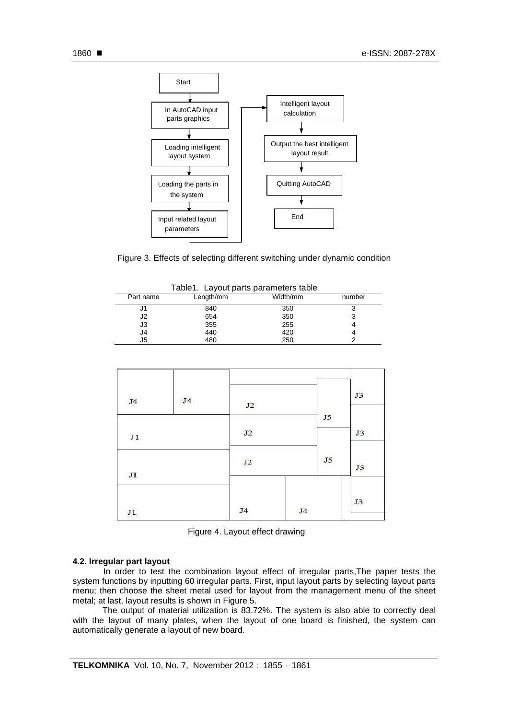

Figure 3. Effects of selecting different switching under dynamic condition

| Table1. Layout parts parameters table |           |          |        |  |  |  |
|---------------------------------------|-----------|----------|--------|--|--|--|
| Part name                             | Length/mm | Width/mm | number |  |  |  |
| J1                                    | 840       | 350      | っ      |  |  |  |
| J2                                    | 654       | 350      |        |  |  |  |
| J3                                    | 355       | 255      |        |  |  |  |
| J4                                    | 440       | 420      |        |  |  |  |
| J5                                    | 480       | 250      |        |  |  |  |

| J <sub>4</sub> | J <sub>4</sub> |                |                |                | J3 |
|----------------|----------------|----------------|----------------|----------------|----|
|                |                | $\rm J2$       |                | J <sub>5</sub> |    |
| $_{\rm J1}$    |                | J2             |                |                | J3 |
| J1             |                | J2             |                | J5             | J3 |
| $_{\rm J1}$    |                | J <sub>4</sub> | J <sub>4</sub> | -77            | J3 |

| Figure 4. Layout effect drawing |  |  |  |  |  |
|---------------------------------|--|--|--|--|--|
|---------------------------------|--|--|--|--|--|

### **4.2. Irregular part layout**

In order to test the combination layout effect of irregular parts,The paper tests the system functions by inputting 60 irregular parts. First, input layout parts by selecting layout parts menu; then choose the sheet metal used for layout from the management menu of the sheet metal; at last, layout results is shown in Figure 5.

The output of material utilization is 83.72%. The system is also able to correctly deal with the layout of many plates, when the layout of one board is finished, the system can automatically generate a layout of new board.